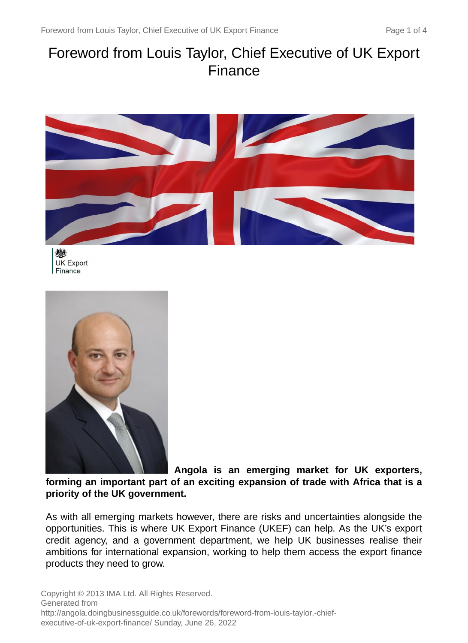# Foreword from Louis Taylor, Chief Executive of UK Export Finance



戀 **UK Export** Finance



**Angola is an emerging market for UK exporters, forming an important part of an exciting expansion of trade with Africa that is a priority of the UK government.**

As with all emerging markets however, there are risks and uncertainties alongside the opportunities. This is where UK Export Finance (UKEF) can help. As the UK's export credit agency, and a government department, we help UK businesses realise their ambitions for international expansion, working to help them access the export finance products they need to grow.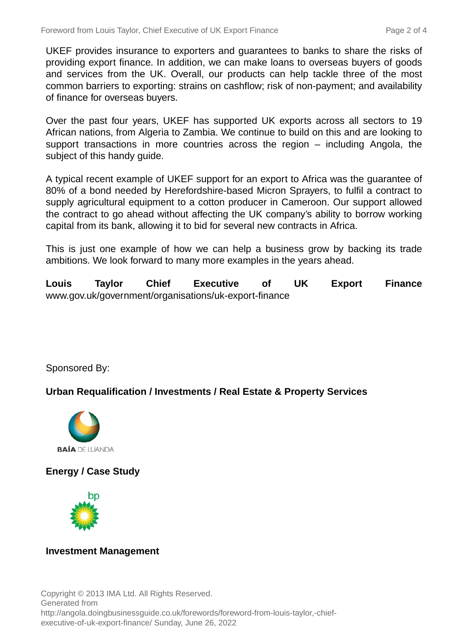UKEF provides insurance to exporters and guarantees to banks to share the risks of providing export finance. In addition, we can make loans to overseas buyers of goods and services from the UK. Overall, our products can help tackle three of the most common barriers to exporting: strains on cashflow; risk of non-payment; and availability of finance for overseas buyers.

Over the past four years, UKEF has supported UK exports across all sectors to 19 African nations, from Algeria to Zambia. We continue to build on this and are looking to support transactions in more countries across the region – including Angola, the subject of this handy guide.

A typical recent example of UKEF support for an export to Africa was the guarantee of 80% of a bond needed by Herefordshire-based Micron Sprayers, to fulfil a contract to supply agricultural equipment to a cotton producer in Cameroon. Our support allowed the contract to go ahead without affecting the UK company's ability to borrow working capital from its bank, allowing it to bid for several new contracts in Africa.

This is just one example of how we can help a business grow by backing its trade ambitions. We look forward to many more examples in the years ahead.

**Louis Taylor Chief Executive of UK Export Finance** www.gov.uk/government/organisations/uk-export-finance

Sponsored By:

#### **Urban Requalification / Investments / Real Estate & Property Services**



**Energy / Case Study**



#### **Investment Management**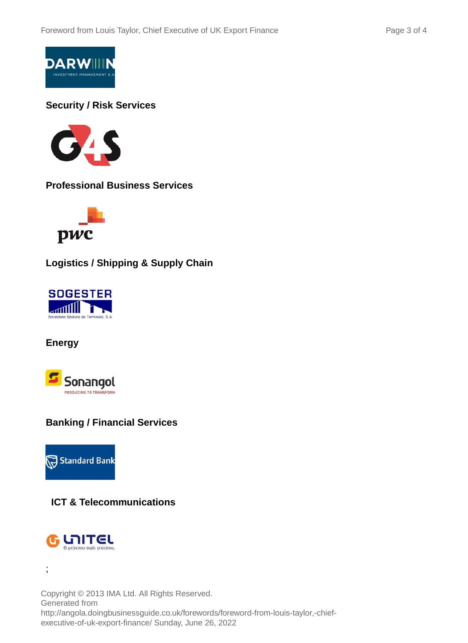

#### **Security / Risk Services**



**Professional Business Services**



**Logistics / Shipping & Supply Chain**



**Energy**



## **Banking / Financial Services**



## **ICT & Telecommunications**



;

Copyright © 2013 IMA Ltd. All Rights Reserved. Generated from http://angola.doingbusinessguide.co.uk/forewords/foreword-from-louis-taylor,-chiefexecutive-of-uk-export-finance/ Sunday, June 26, 2022